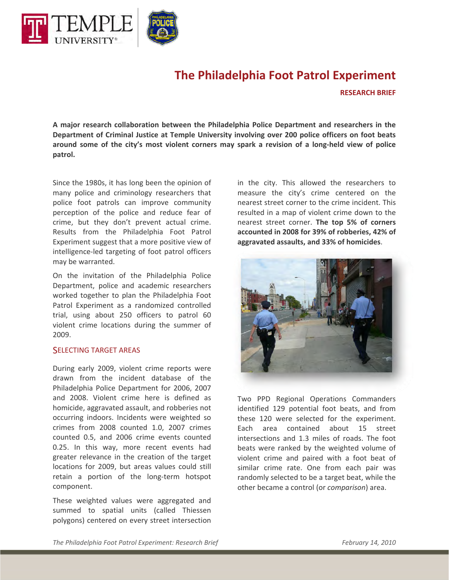

# **The Philadelphia Foot Patrol Experiment**

**RESEARCH BRIEF**

**A major research collaboration between the Philadelphia Police Department and researchers in the Department of Criminal Justice at Temple University involving over 200 police officers on foot beats** around some of the city's most violent corners may spark a revision of a long-held view of police **patrol.**

Since the 1980s, it has long been the opinion of many police and criminology researchers that police foot patrols can improve community perception of the police and reduce fear of crime, but they don't prevent actual crime. Results from the Philadelphia Foot Patrol Experiment suggest that a more positive view of intelligence‐led targeting of foot patrol officers may be warranted.

On the invitation of the Philadelphia Police Department, police and academic researchers worked together to plan the Philadelphia Foot Patrol Experiment as a randomized controlled trial, using about 250 officers to patrol 60 violent crime locations during the summer of 2009.

#### SELECTING TARGET AREAS

During early 2009, violent crime reports were drawn from the incident database of the Philadelphia Police Department for 2006, 2007 and 2008. Violent crime here is defined as homicide, aggravated assault, and robberies not occurring indoors. Incidents were weighted so crimes from 2008 counted 1.0, 2007 crimes counted 0.5, and 2006 crime events counted 0.25. In this way, more recent events had greater relevance in the creation of the target locations for 2009, but areas values could still retain a portion of the long‐term hotspot component.

These weighted values were aggregated and summed to spatial units (called Thiessen polygons) centered on every street intersection in the city. This allowed the researchers to measure the city's crime centered on the nearest street corner to the crime incident. This resulted in a map of violent crime down to the nearest street corner. **The top 5% of corners accounted in 2008 for 39% of robberies, 42% of aggravated assaults, and 33% of homicides**.



Two PPD Regional Operations Commanders identified 129 potential foot beats, and from these 120 were selected for the experiment. Each area contained about 15 street intersections and 1.3 miles of roads. The foot beats were ranked by the weighted volume of violent crime and paired with a foot beat of similar crime rate. One from each pair was randomly selected to be a target beat, while the other became a control (or *comparison*) area.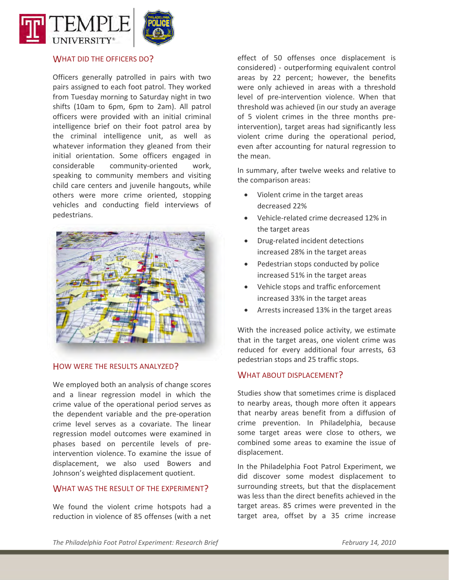

#### WHAT DID THE OFFICERS DO?

Officers generally patrolled in pairs with two pairs assigned to each foot patrol. They worked from Tuesday morning to Saturday night in two shifts (10am to 6pm, 6pm to 2am). All patrol officers were provided with an initial criminal intelligence brief on their foot patrol area by the criminal intelligence unit, as well as whatever information they gleaned from their initial orientation. Some officers engaged in considerable community-oriented work, speaking to community members and visiting child care centers and juvenile hangouts, while others were more crime oriented, stopping vehicles and conducting field interviews of pedestrians.



## HOW WERE THE RESULTS ANALYZED?

We employed both an analysis of change scores and a linear regression model in which the crime value of the operational period serves as the dependent variable and the pre‐operation crime level serves as a covariate. The linear regression model outcomes were examined in phases based on percentile levels of pre‐ intervention violence. To examine the issue of displacement, we also used Bowers and Johnson's weighted displacement quotient.

#### WHAT WAS THE RESULT OF THE EXPERIMENT?

We found the violent crime hotspots had a reduction in violence of 85 offenses (with a net

effect of 50 offenses once displacement is considered) ‐ outperforming equivalent control areas by 22 percent; however, the benefits were only achieved in areas with a threshold level of pre‐intervention violence. When that threshold was achieved (in our study an average of 5 violent crimes in the three months pre‐ intervention), target areas had significantly less violent crime during the operational period, even after accounting for natural regression to the mean.

In summary, after twelve weeks and relative to the comparison areas:

- Violent crime in the target areas decreased 22%
- Vehicle‐related crime decreased 12% in the target areas
- Drug‐related incident detections increased 28% in the target areas
- Pedestrian stops conducted by police increased 51% in the target areas
- Vehicle stops and traffic enforcement increased 33% in the target areas
- Arrests increased 13% in the target areas

With the increased police activity, we estimate that in the target areas, one violent crime was reduced for every additional four arrests, 63 pedestrian stops and 25 traffic stops.

#### WHAT ABOUT DISPLACEMENT?

Studies show that sometimes crime is displaced to nearby areas, though more often it appears that nearby areas benefit from a diffusion of crime prevention. In Philadelphia, because some target areas were close to others, we combined some areas to examine the issue of displacement.

In the Philadelphia Foot Patrol Experiment, we did discover some modest displacement to surrounding streets, but that the displacement was less than the direct benefits achieved in the target areas. 85 crimes were prevented in the target area, offset by a 35 crime increase